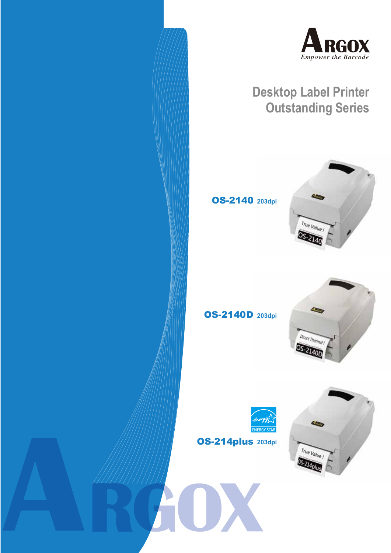



# **Desktop Label Printer Outstanding Series**

OS-2140 **203dpi**







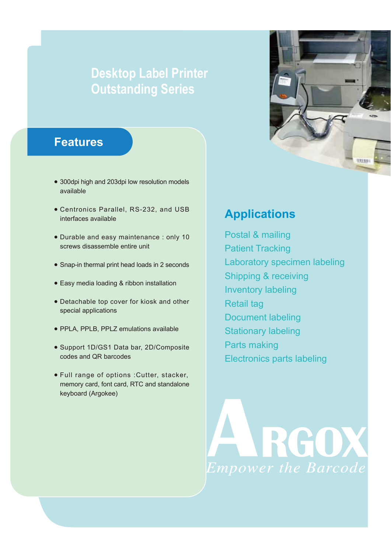# **Desktop Label Printer Outstanding Series**

## **Features**

- 300dpi high and 203dpi low resolution models available
- Centronics Parallel, RS-232, and USB interfaces available
- Durable and easy maintenance : only 10 screws disassemble entire unit
- Snap-in thermal print head loads in 2 seconds
- Easy media loading & ribbon installation
- Detachable top cover for kiosk and other special applications
- PPLA, PPLB, PPLZ emulations available
- Support 1D/GS1 Data bar, 2D/Composite codes and QR barcodes
- Full range of options :Cutter, stacker, memory card, font card, RTC and standalone keyboard (Argokee)

# (UU)

# **Applications**

Postal & mailing Patient Tracking Laboratory specimen labeling Shipping & receiving Inventory labeling Retail tag Document labeling Stationary labeling Parts making Electronics parts labeling

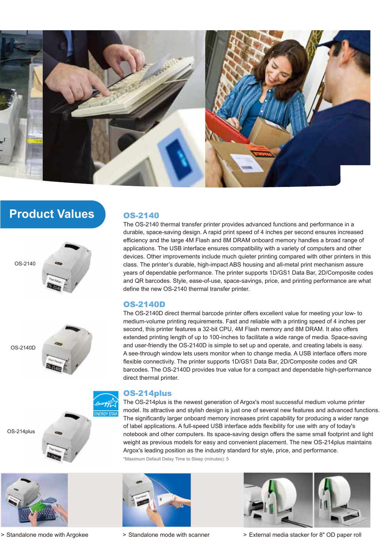

# **Product Values**









> Standalone mode with Argokee > Standalone mode with scanner

### OS-2140

The OS-2140 thermal transfer printer provides advanced functions and performance in a durable, space-saving design. A rapid print speed of 4 inches per second ensures increased efficiency and the large 4M Flash and 8M DRAM onboard memory handles a broad range of applications. The USB interface ensures compatibility with a variety of computers and other devices. Other improvements include much quieter printing compared with other printers in this class. The printer's durable, high-impact ABS housing and all-metal print mechanism assure years of dependable performance. The printer supports 1D/GS1 Data Bar, 2D/Composite codes and QR barcodes. Style, ease-of-use, space-savings, price, and printing performance are what define the new OS-2140 thermal transfer printer.

### OS-2140D

The OS-2140D direct thermal barcode printer offers excellent value for meeting your low- to medium-volume printing requirements. Fast and reliable with a printing speed of 4 inches per second, this printer features a 32-bit CPU, 4M Flash memory and 8M DRAM. It also offers extended printing length of up to 100-inches to facilitate a wide range of media. Space-saving and user-friendly the OS-2140D is simple to set up and operate, and creating labels is easy. A see-through window lets users monitor when to change media. A USB interface offers more flexible connectivity. The printer supports 1D/GS1 Data Bar, 2D/Composite codes and QR barcodes. The OS-2140D provides true value for a compact and dependable high-performance direct thermal printer.

### OS-214plus

The OS-214plus is the newest generation of Argox's most successful medium volume printer model. Its attractive and stylish design is just one of several new features and advanced functions. The significantly larger onboard memory increases print capability for producing a wider range of label applications. A full-speed USB interface adds flexibility for use with any of today's notebook and other computers. Its space-saving design offers the same small footprint and light weight as previous models for easy and convenient placement. The new OS-214plus maintains Argox's leading position as the industry standard for style, price, and performance. \*Maximum Default Delay Time to Sleep (minutes): 5







> External media stacker for 8" OD paper roll